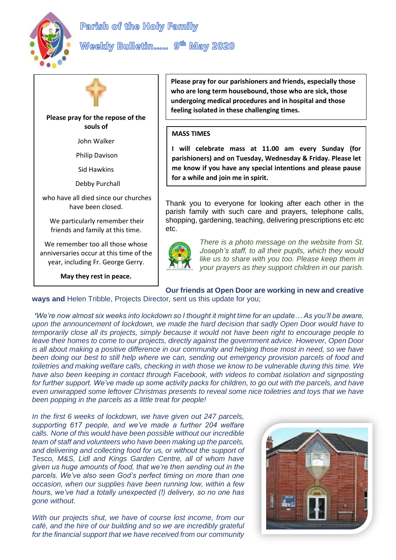

Weekly Bulletin..... 9<sup>th</sup> May 2020



**Please pray for the repose of the souls of**

John Walker

Philip Davison

Sid Hawkins

Debby Purchall

who have all died since our churches have been closed.

We particularly remember their friends and family at this time.

We remember too all those whose anniversaries occur at this time of the year, including Fr. George Gerry.

**May they rest in peace.**

**Please pray for our parishioners and friends, especially those who are long term housebound, those who are sick, those undergoing medical procedures and in hospital and those feeling isolated in these challenging times.**

### **MASS TIMES**

**I will celebrate mass at 11.00 am every Sunday (for parishioners) and on Tuesday, Wednesday & Friday. Please let me know if you have any special intentions and please pause for a while and join me in spirit.**

Thank you to everyone for looking after each other in the parish family with such care and prayers, telephone calls, shopping, gardening, teaching, delivering prescriptions etc etc etc.



*There is a photo message on the website from St. Joseph's staff, to all their pupils, which they would like us to share with you too. Please keep them in your prayers as they support children in our parish.*

# **Our friends at Open Door are working in new and creative**

**ways and** Helen Tribble, Projects Director, sent us this update for you;

*'We're now almost six weeks into lockdown so I thought it might time for an update… As you'll be aware, upon the announcement of lockdown, we made the hard decision that sadly Open Door would have to temporarily close all its projects, simply because it would not have been right to encourage people to leave their homes to come to our projects, directly against the government advice. However, Open Door is all about making a positive difference in our community and helping those most in need, so we have been doing our best to still help where we can, sending out emergency provision parcels of food and toiletries and making welfare calls, checking in with those we know to be vulnerable during this time. We have also been keeping in contact through Facebook, with videos to combat isolation and signposting for further support. We've made up some activity packs for children, to go out with the parcels, and have even unwrapped some leftover Christmas presents to reveal some nice toiletries and toys that we have been popping in the parcels as a little treat for people!*

*In the first 6 weeks of lockdown, we have given out 247 parcels, supporting 617 people, and we've made a further 204 welfare calls. None of this would have been possible without our incredible team of staff and volunteers who have been making up the parcels, and delivering and collecting food for us, or without the support of Tesco, M&S, Lidl and Kings Garden Centre, all of whom have given us huge amounts of food, that we're then sending out in the parcels. We've also seen God's perfect timing on more than one occasion, when our supplies have been running low, within a few hours, we've had a totally unexpected (!) delivery, so no one has gone without.*

*With our projects shut, we have of course lost income, from our café, and the hire of our building and so we are incredibly grateful for the financial support that we have received from our community* 

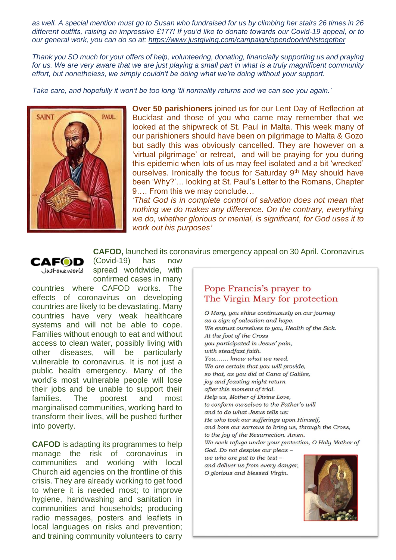*as well. A special mention must go to Susan who fundraised for us by climbing her stairs 26 times in 26 different outfits, raising an impressive £177! If you'd like to donate towards our Covid-19 appeal, or to our general work, you can do so at: <https://www.justgiving.com/campaign/opendoorinthistogether>*

*Thank you SO much for your offers of help, volunteering, donating, financially supporting us and praying for us. We are very aware that we are just playing a small part in what is a truly magnificent community effort, but nonetheless, we simply couldn't be doing what we're doing without your support.*

*Take care, and hopefully it won't be too long 'til normality returns and we can see you again.'*



**Over 50 parishioners** joined us for our Lent Day of Reflection at Buckfast and those of you who came may remember that we looked at the shipwreck of St. Paul in Malta. This week many of our parishioners should have been on pilgrimage to Malta & Gozo but sadly this was obviously cancelled. They are however on a 'virtual pilgrimage' or retreat, and will be praying for you during this epidemic when lots of us may feel isolated and a bit 'wrecked' ourselves. Ironically the focus for Saturday 9<sup>th</sup> May should have been 'Why?'… looking at St. Paul's Letter to the Romans, Chapter 9…. From this we may conclude…

*'That God is in complete control of salvation does not mean that nothing we do makes any difference. On the contrary, everything we do, whether glorious or menial, is significant, for God uses it to work out his purposes'*

#### **CAFOD,** launched its coronavirus emergency appeal on 30 April. Coronavirus

CAFOD Justoneworld (Covid-19) has now spread worldwide, with confirmed cases in many

countries where CAFOD works. The effects of coronavirus on developing countries are likely to be devastating. Many countries have very weak healthcare systems and will not be able to cope. Families without enough to eat and without access to clean water, possibly living with other diseases, will be particularly vulnerable to coronavirus. It is not just a public health emergency. Many of the world's most vulnerable people will lose their jobs and be unable to support their families. The poorest and most marginalised communities, working hard to transform their lives, will be pushed further into poverty.

**CAFOD** is adapting its programmes to help manage the risk of coronavirus in communities and working with local Church aid agencies on the frontline of this crisis. They are already working to get food to where it is needed most; to improve hygiene, handwashing and sanitation in communities and households; producing radio messages, posters and leaflets in local languages on risks and prevention; and training community volunteers to carry

## Pope Francis's prayer to The Virgin Mary for protection

O Mary, you shine continuously on our journey as a sign of salvation and hope. We entrust ourselves to you, Health of the Sick. At the foot of the Cross you participated in Jesus' pain, with steadfast faith. You....... know what we need. We are certain that you will provide, so that, as you did at Cana of Galilee, joy and feasting might return after this moment of trial. Help us, Mother of Divine Love, to conform ourselves to the Father's will and to do what Jesus tells us: He who took our sufferings upon Himself, and bore our sorrows to bring us, through the Cross, to the joy of the Resurrection. Amen. We seek refuge under your protection, O Holy Mother of God. Do not despise our pleas -

we who are put to the test  $$ and deliver us from every danger, O glorious and blessed Virgin.

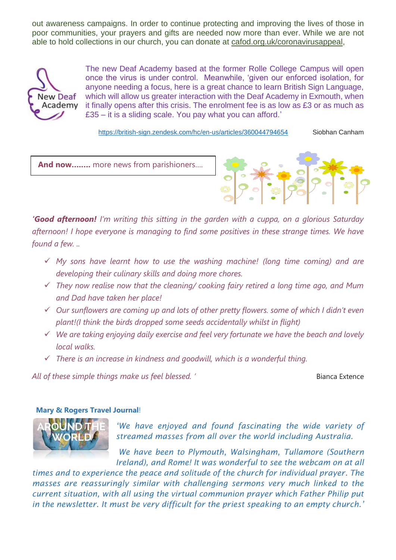out awareness campaigns. In order to continue protecting and improving the lives of those in poor communities, your prayers and gifts are needed now more than ever. While we are not able to hold collections in our church, you can donate at [cafod.org.uk/coronavirusappeal,](https://cafod.org.uk/coronavirusappeal)



The new Deaf Academy based at the former Rolle College Campus will open once the virus is under control. Meanwhile, 'given our enforced isolation, for anyone needing a focus, here is a great chance to learn British Sign Language, which will allow us greater interaction with the Deaf Academy in Exmouth, when it finally opens after this crisis. The enrolment fee is as low as £3 or as much as £35 – it is a sliding scale. You pay what you can afford.'

<https://british-sign.zendesk.com/hc/en-us/articles/360044794654> Siobhan Canham

**And now….….** more news from parishioners….



*'Good afternoon! I'm writing this sitting in the garden with a cuppa, on a glorious Saturday afternoon! I hope everyone is managing to find some positives in these strange times. We have found a few. ..*

- ✓ *My sons have learnt how to use the washing machine! (long time coming) and are developing their culinary skills and doing more chores.*
- ✓ *They now realise now that the cleaning/ cooking fairy retired a long time ago, and Mum and Dad have taken her place!*
- ✓ *Our sunflowers are coming up and lots of other pretty flowers. some of which I didn't even plant!(I think the birds dropped some seeds accidentally whilst in flight)*
- ✓ *We are taking enjoying daily exercise and feel very fortunate we have the beach and lovely local walks.*
- ✓ *There is an increase in kindness and goodwill, which is a wonderful thing.*

All of these simple things make us feel blessed. ' **Bianca Extence** Bianca Extence

### **Mary & Rogers Travel Journal**!



*'We have enjoyed and found fascinating the wide variety of streamed masses from all over the world including Australia.*

*We have been to Plymouth, Walsingham, Tullamore (Southern Ireland), and Rome! It was wonderful to see the webcam on at all* 

*times and to experience the peace and solitude of the church for individual prayer. The masses are reassuringly similar with challenging sermons very much linked to the current situation, with all using the virtual communion prayer which Father Philip put in the newsletter. It must be very difficult for the priest speaking to an empty church.'*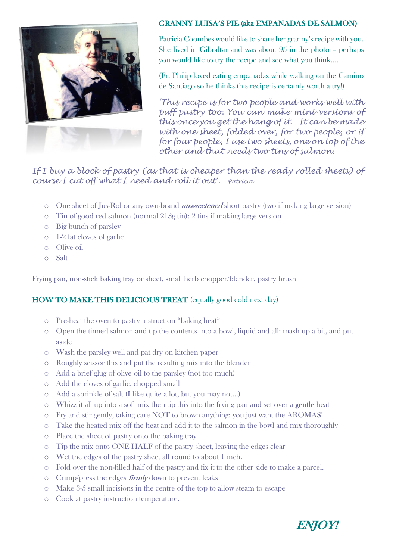

## GRANNY LUISA'S PIE (aka EMPANADAS DE SALMON)

Patricia Coombes would like to share her granny's recipe with you. She lived in Gibraltar and was about 95 in the photo – perhaps you would like to try the recipe and see what you think….

(Fr. Philip loved eating empanadas while walking on the Camino de Santiago so he thinks this recipe is certainly worth a try!)

*'This recipe is for two people and works well with puff pastry too. You can make mini-versions of this once you get the hang of it. It can be made with one sheet, folded over, for two people, or if for four people, I use two sheets, one on top of the other and that needs two tins of salmon.*

If I buy a block of pastry (as that is cheaper than the ready rolled sheets) of *course I cut off what I need and roll it out'. Patricia*

- $\circ$  One sheet of Jus-Rol or any own-brand *unsweetened* short pastry (two if making large version)
- o Tin of good red salmon (normal 213g tin): 2 tins if making large version
- o Big bunch of parsley
- o 1-2 fat cloves of garlic
- o Olive oil
- o Salt

Frying pan, non-stick baking tray or sheet, small herb chopper/blender, pastry brush

## HOW TO MAKE THIS DELICIOUS TREAT (equally good cold next day)

- o Pre-heat the oven to pastry instruction "baking heat"
- o Open the tinned salmon and tip the contents into a bowl, liquid and all: mash up a bit, and put aside
- o Wash the parsley well and pat dry on kitchen paper
- o Roughly scissor this and put the resulting mix into the blender
- o Add a brief glug of olive oil to the parsley (not too much)
- o Add the cloves of garlic, chopped small
- o Add a sprinkle of salt (I like quite a lot, but you may not…)
- $\circ$  Whizz it all up into a soft mix then tip this into the frying pan and set over a **gentle** heat
- o Fry and stir gently, taking care NOT to brown anything: you just want the AROMAS!
- o Take the heated mix off the heat and add it to the salmon in the bowl and mix thoroughly
- o Place the sheet of pastry onto the baking tray
- o Tip the mix onto ONE HALF of the pastry sheet, leaving the edges clear
- o Wet the edges of the pastry sheet all round to about 1 inch.
- o Fold over the non-filled half of the pastry and fix it to the other side to make a parcel.
- $\circ$  Crimp/press the edges **firmly** down to prevent leaks
- o Make 3-5 small incisions in the centre of the top to allow steam to escape
- o Cook at pastry instruction temperature.

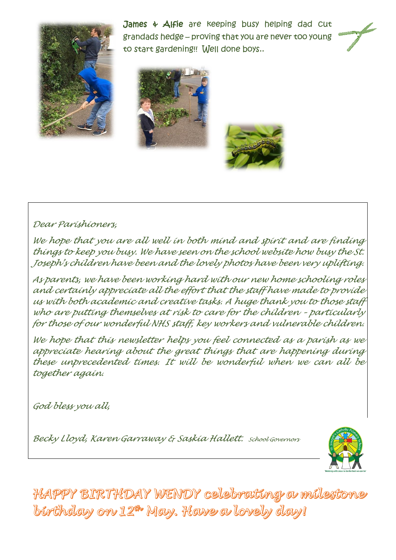

James & Alfie are keeping busy helping dad cut grandads hedge – proving that you are never too young to start gardening!! Well done boys..





# *Dear Parishioners,*

*We hope that you are all well in both mind and spirit and are finding things to keep you busy. We have seen on the school website how busy the St. Joseph's children have been and the lovely photos have been very uplifting.* 

*As parents, we have been working hard with our new home schooling roles and certainly appreciate all the effort that the staff have made to provide us with both academic and creative tasks. A huge thank you to those staff who are putting themselves at risk to care for the children – particularly for those of our wonderful NHS staff, key workers and vulnerable children.*

*We hope that this newsletter helps you feel connected as a parish as we appreciate hearing about the great things that are happening during these unprecedented times. It will be wonderful when we can all be together again.* 

*God bless you all,*

*Becky Lloyd, Karen Garraway & Saskia Hallett. School Governors*



HAPPY BIRTHDAY WENDY celebrating a milestone barthday on 12th May. Hawe a lovely day!